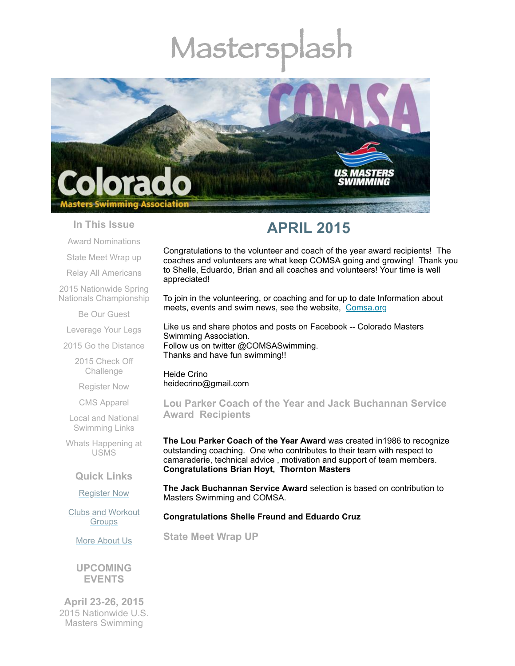# Mastersp



#### **In This Issue**

Award [Nominations](#page-0-0)

State Meet [Wrap](#page-0-1) up

Relay All [Americans](#page-2-0)

2015 Nationwide Spring Nationals [Championship](#page-2-1)

Be Our [Guest](#page-3-0)

[Leverage](#page-3-1) Your Legs

2015 Go the [Distance](#page-3-2)

2015 Check Off [Challenge](#page-4-0)

[Register](#page-4-1) Now

CMS [Apparel](#page-5-0)

Local and National [Swimming](#page-5-1) Links

Whats [Happening](#page-5-2) at USMS

#### **Quick Links**

[Register](http://comsa.org/joining/index.html) Now

Clubs and [Workout](http://comsa.org/clubs/index.html) **Groups** 

More [About](http://comsa.org/) Us

**UPCOMING EVENTS**

**April 23-26, 2015** 2015 Nationwide U.S. Masters Swimming

# **APRIL 2015**

Congratulations to the volunteer and coach of the year award recipients! The coaches and volunteers are what keep COMSA going and growing! Thank you to Shelle, Eduardo, Brian and all coaches and volunteers! Your time is well appreciated!

To join in the volunteering, or coaching and for up to date Information about meets, events and swim news, see the website, [Comsa.org](http://comsa.org/)

Like us and share photos and posts on Facebook -- Colorado Masters Swimming Association. Follow us on twitter @COMSASwimming. Thanks and have fun swimming!!

Heide Crino heidecrino@gmail.com

<span id="page-0-0"></span>**Lou Parker Coach of the Year and Jack Buchannan Service Award Recipients** 

**The Lou Parker Coach of the Year Award** was created in1986 to recognize outstanding coaching. One who contributes to their team with respect to camaraderie, technical advice , motivation and support of team members. **Congratulations Brian Hoyt, Thornton Masters**

**The Jack Buchannan Service Award** selection is based on contribution to Masters Swimming and COMSA.

#### **Congratulations Shelle Freund and Eduardo Cruz**

<span id="page-0-1"></span>**State Meet Wrap UP**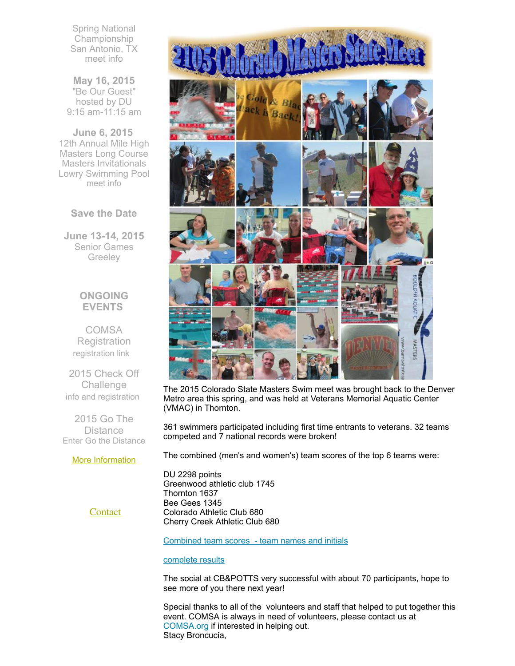Spring National Championship San Antonio, TX [meet](http://www.usms.org/content/scnats15meetinfo) info

**May 16, 2015** "Be Our Guest" hosted by DU 9:15 am-11:15 am

**June 6, 2015** 12th Annual Mile High Masters Long Course Masters Invitationals Lowry Swimming Pool [meet](http://www.comsa.org/events/2015Pool/12th_Annual_Mile_High_Masters_LCM.pdf) info

**Save the Date**

**June 13-14, 2015** Senior Games **Greeley** 

# **ONGOING EVENTS**

**COMSA Registration** [registration](http://www.comsa.org/joining/index.html) link

2015 Check Off Challenge info and [registration](http://www.usms.org/fitness/content/checkoff)

2015 Go The **Distance** Enter Go the [Distance](http://www.usms.org/fitness/enterflogevent.php)

#### More [Information](http://www.comsa.org/)



The 2015 Colorado State Masters Swim meet was brought back to the Denver Metro area this spring, and was held at Veterans Memorial Aquatic Center (VMAC) in Thornton.

361 swimmers participated including first time entrants to veterans. 32 teams competed and 7 national records were broken!

The combined (men's and women's) team scores of the top 6 teams were:

DU 2298 points Greenwood athletic club 1745 Thornton 1637 Bee Gees 1345 Colorado Athletic Club 680 Cherry Creek Athletic Club 680

**[Contact](mailto:heidecrino@gmail.com?)** 

[Combined](http://files.ctctcdn.com/97cb2c13201/eeb4636e-3515-467c-89cd-0a39d6200ce2.pdf) team scores - team names and initials

## [complete](http://www.comsa.org/results/2015/2015COMSA_state_no%20splits.pdf) results

The social at CB&POTTS very successful with about 70 participants, hope to see more of you there next year!

Special thanks to all of the volunteers and staff that helped to put together this event. COMSA is always in need of volunteers, please contact us at COMSA.org if interested in helping out. Stacy Broncucia,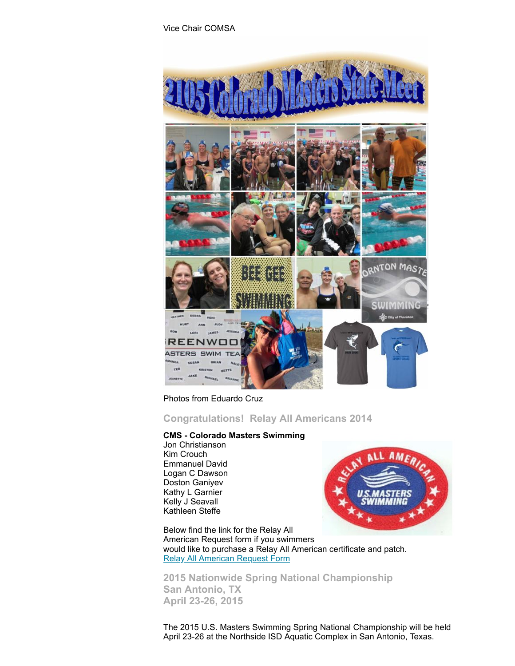

Photos from Eduardo Cruz

<span id="page-2-0"></span>**Congratulations! Relay All Americans 2014**

#### **CMS - Colorado Masters Swimming**

Jon Christianson Kim Crouch Emmanuel David Logan C Dawson Doston Ganiyev Kathy L Garnier Kelly J Seavall Kathleen Steffe



Below find the link for the Relay All American Request form if you swimmers would like to purchase a Relay All American certificate and patch. Relay All [American](http://files.ctctcdn.com/97cb2c13201/6589337c-5424-460b-96ef-00131a428af6.pdf) Request Form

<span id="page-2-1"></span>**2015 Nationwide Spring National Championship San Antonio, TX April 23-26, 2015** 

The 2015 U.S. Masters Swimming Spring National Championship will be held April 23-26 at the Northside ISD Aquatic Complex in San Antonio, Texas.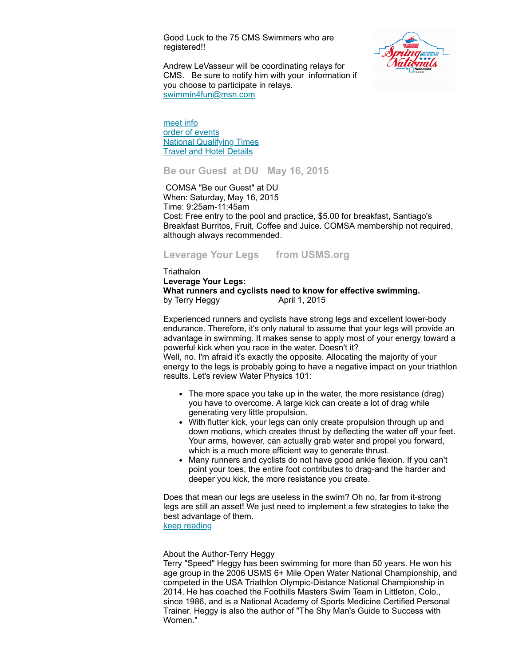Good Luck to the 75 CMS Swimmers who are registered!!



Andrew LeVasseur will be coordinating relays for CMS. Be sure to notify him with your information if you choose to participate in relays. [swimmin4fun@msn.com](mailto:swimmin4fun@msn.com)

[meet](http://www.usms.org/content/scnats15meetinfo) info order of [events](http://www.usms.org/comp/meetevents.php?MeetID=20150423SANATSY) **National [Qualifying](http://www.usms.org/comp/scnats15/nqt.pdf) Times** Travel and Hotel [Details](http://www.usms.org/content/scnats15travelinfo)

<span id="page-3-0"></span>**Be our Guest at DU May 16, 2015** 

COMSA "Be our Guest" at DU When: Saturday, May 16, 2015 Time: 9:25am-11:45am Cost: Free entry to the pool and practice, \$5.00 for breakfast, Santiago's Breakfast Burritos, Fruit, Coffee and Juice. COMSA membership not required, although always recommended.

<span id="page-3-1"></span>**Leverage Your Legs from USMS.org**

**Triathalon Leverage Your Legs: What runners and cyclists need to know for effective swimming.** by Terry Heggy April 1, 2015

Experienced runners and cyclists have strong legs and excellent lower-body endurance. Therefore, it's only natural to assume that your legs will provide an advantage in swimming. It makes sense to apply most of your energy toward a powerful kick when you race in the water. Doesn't it?

Well, no. I'm afraid it's exactly the opposite. Allocating the majority of your energy to the legs is probably going to have a negative impact on your triathlon results. Let's review Water Physics 101:

- The more space you take up in the water, the more resistance (drag) you have to overcome. A large kick can create a lot of drag while generating very little propulsion.
- With flutter kick, your legs can only create propulsion through up and down motions, which creates thrust by deflecting the water off your feet. Your arms, however, can actually grab water and propel you forward, which is a much more efficient way to generate thrust.
- Many runners and cyclists do not have good ankle flexion. If you can't point your toes, the entire foot contributes to drag-and the harder and deeper you kick, the more resistance you create.

Does that mean our legs are useless in the swim? Oh no, far from it-strong legs are still an asset! We just need to implement a few strategies to take the best advantage of them.

keep [reading](http://www.usms.org/articles/articledisplay.php?aid=3078)

About the Author-Terry Heggy

<span id="page-3-2"></span>Terry "Speed" Heggy has been swimming for more than 50 years. He won his age group in the 2006 USMS 6+ Mile Open Water National Championship, and competed in the USA Triathlon Olympic-Distance National Championship in 2014. He has coached the Foothills Masters Swim Team in Littleton, Colo., since 1986, and is a National Academy of Sports Medicine Certified Personal Trainer. Heggy is also the author of "The Shy Man's Guide to Success with Women."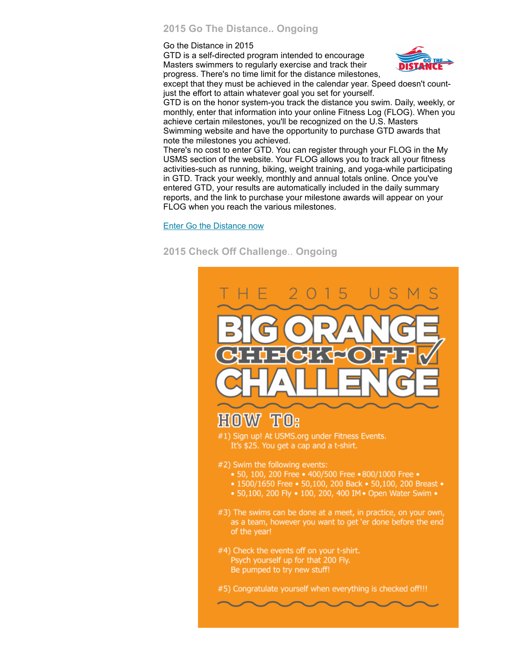### **2015 Go The Distance.. Ongoing**

Go the Distance in 2015

GTD is a self-directed program intended to encourage Masters swimmers to regularly exercise and track their progress. There's no time limit for the distance milestones,



except that they must be achieved in the calendar year. Speed doesn't countjust the effort to attain whatever goal you set for yourself.

GTD is on the honor system-you track the distance you swim. Daily, weekly, or monthly, enter that information into your online Fitness Log (FLOG). When you achieve certain milestones, you'll be recognized on the U.S. Masters Swimming website and have the opportunity to purchase GTD awards that note the milestones you achieved.

There's no cost to enter GTD. You can register through your FLOG in the My USMS section of the website. Your FLOG allows you to track all your fitness activities-such as running, biking, weight training, and yoga-while participating in GTD. Track your weekly, monthly and annual totals online. Once you've entered GTD, your results are automatically included in the daily summary reports, and the link to purchase your milestone awards will appear on your FLOG when you reach the various milestones.

Enter Go the [Distance](http://www.usms.org/fitness/enterflogevent.php) now

# <span id="page-4-0"></span>**2015 Check Off Challenge**.. **Ongoing**

<span id="page-4-1"></span>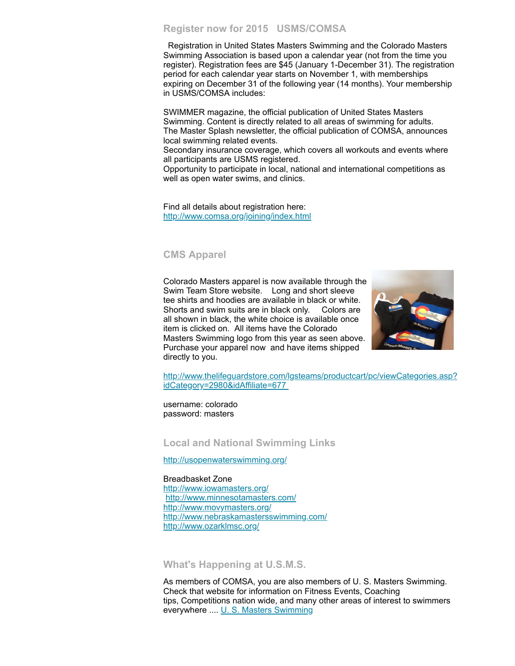#### **Register now for 2015 USMS/COMSA**

Registration in United States Masters Swimming and the Colorado Masters Swimming Association is based upon a calendar year (not from the time you register). Registration fees are \$45 (January 1-December 31). The registration period for each calendar year starts on November 1, with memberships expiring on December 31 of the following year (14 months). Your membership in USMS/COMSA includes:

SWIMMER magazine, the official publication of United States Masters Swimming. Content is directly related to all areas of swimming for adults. The Master Splash newsletter, the official publication of COMSA, announces local swimming related events.

Secondary insurance coverage, which covers all workouts and events where all participants are USMS registered.

Opportunity to participate in local, national and international competitions as well as open water swims, and clinics.

Find all details about registration here: <http://www.comsa.org/joining/index.html>

#### <span id="page-5-0"></span>**CMS Apparel**

Colorado Masters apparel is now available through the Swim Team Store website. Long and short sleeve tee shirts and hoodies are available in black or white. Shorts and swim suits are in black only. Colors are all shown in black, the white choice is available once item is clicked on. All items have the Colorado Masters Swimming logo from this year as seen above. Purchase your apparel now and have items shipped directly to you.



[http://www.thelifeguardstore.com/lgsteams/productcart/pc/viewCategories.asp?](http://www.thelifeguardstore.com/lgsteams/productcart/pc/viewCategories.asp?idCategory=2980&idAffiliate=677) idCategory=2980&idAffiliate=677

username: colorado password: masters

<span id="page-5-1"></span>**Local and National Swimming Links**

<http://usopenwaterswimming.org/>

Breadbasket Zone <http://www.iowamasters.org/> <http://www.minnesotamasters.com/> <http://www.movymasters.org/> <http://www.nebraskamastersswimming.com/> <http://www.ozarklmsc.org/>

<span id="page-5-2"></span>**What's Happening at U.S.M.S.**

As members of COMSA, you are also members of U. S. Masters Swimming. Check that website for information on Fitness Events, Coaching tips, Competitions nation wide, and many other areas of interest to swimmers everywhere .... U. S. Masters [Swimming](http://www.usms.org/)